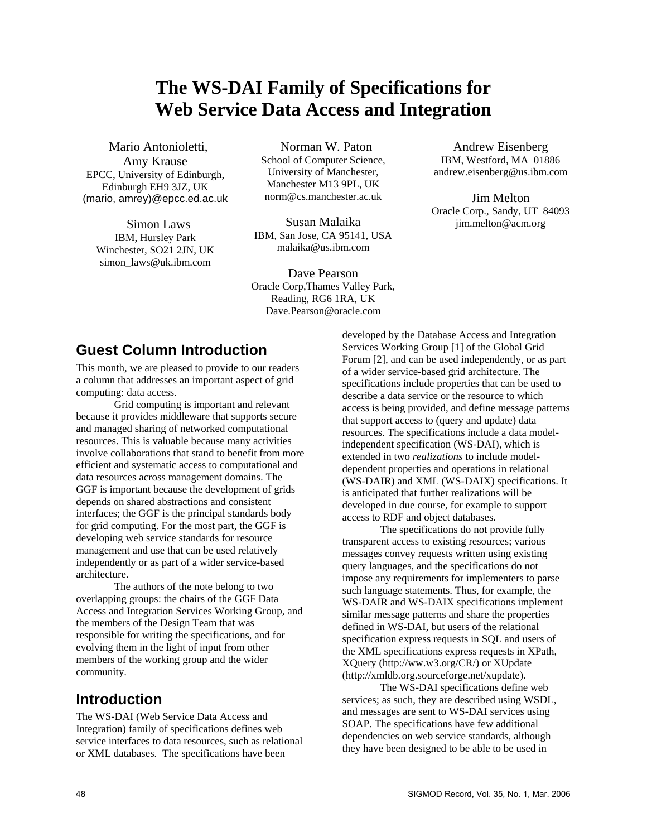# **The WS-DAI Family of Specifications for Web Service Data Access and Integration**

Mario Antonioletti, Amy Krause EPCC, University of Edinburgh, Edinburgh EH9 3JZ, UK (mario, amrey)@epcc.ed.ac.uk

Simon Laws IBM, Hursley Park Winchester, SO21 2JN, UK [simon\\_laws@uk.ibm.com](mailto:simon_laws@uk.ibm.com)

Norman W. Paton School of Computer Science, University of Manchester, Manchester M13 9PL, UK [norm@cs.manchester.ac.uk](mailto:norm@cs.manchester.ac.uk)

Susan Malaika IBM, San Jose, CA 95141, USA malaika@us.ibm.com

Dave Pearson Oracle Corp,Thames Valley Park, Reading, RG6 1RA, UK Dave.Pearson@oracle.com

Andrew Eisenberg IBM, Westford, MA 01886 andrew.eisenberg@us.ibm.com

Jim Melton Oracle Corp., Sandy, UT 84093 [jim.melton@acm.org](mailto:jim.melton@acm.org)

## **Guest Column Introduction**

This month, we are pleased to provide to our readers a column that addresses an important aspect of grid computing: data access.

Grid computing is important and relevant because it provides middleware that supports secure and managed sharing of networked computational resources. This is valuable because many activities involve collaborations that stand to benefit from more efficient and systematic access to computational and data resources across management domains. The GGF is important because the development of grids depends on shared abstractions and consistent interfaces; the GGF is the principal standards body for grid computing. For the most part, the GGF is developing web service standards for resource management and use that can be used relatively independently or as part of a wider service-based architecture.

The authors of the note belong to two overlapping groups: the chairs of the GGF Data Access and Integration Services Working Group, and the members of the Design Team that was responsible for writing the specifications, and for evolving them in the light of input from other members of the working group and the wider community.

## **Introduction**

The WS-DAI (Web Service Data Access and Integration) family of specifications defines web service interfaces to data resources, such as relational or XML databases. The specifications have been

developed by the Database Access and Integration Services Working Group [\[1\]](#page-7-0) of the Global Grid Forum [\[2\],](#page-7-1) and can be used independently, or as part of a wider service-based grid architecture. The specifications include properties that can be used to describe a data service or the resource to which access is being provided, and define message patterns that support access to (query and update) data resources. The specifications include a data modelindependent specification (WS-DAI), which is extended in two *realizations* to include modeldependent properties and operations in relational (WS-DAIR) and XML (WS-DAIX) specifications. It is anticipated that further realizations will be developed in due course, for example to support access to RDF and object databases.

The specifications do not provide fully transparent access to existing resources; various messages convey requests written using existing query languages, and the specifications do not impose any requirements for implementers to parse such language statements. Thus, for example, the WS-DAIR and WS-DAIX specifications implement similar message patterns and share the properties defined in WS-DAI, but users of the relational specification express requests in SQL and users of the XML specifications express requests in XPath, XQuery (http://ww.w3.org/CR/) or XUpdate (http://xmldb.org.sourceforge.net/xupdate).

The WS-DAI specifications define web services; as such, they are described using WSDL, and messages are sent to WS-DAI services using SOAP. The specifications have few additional dependencies on web service standards, although they have been designed to be able to be used in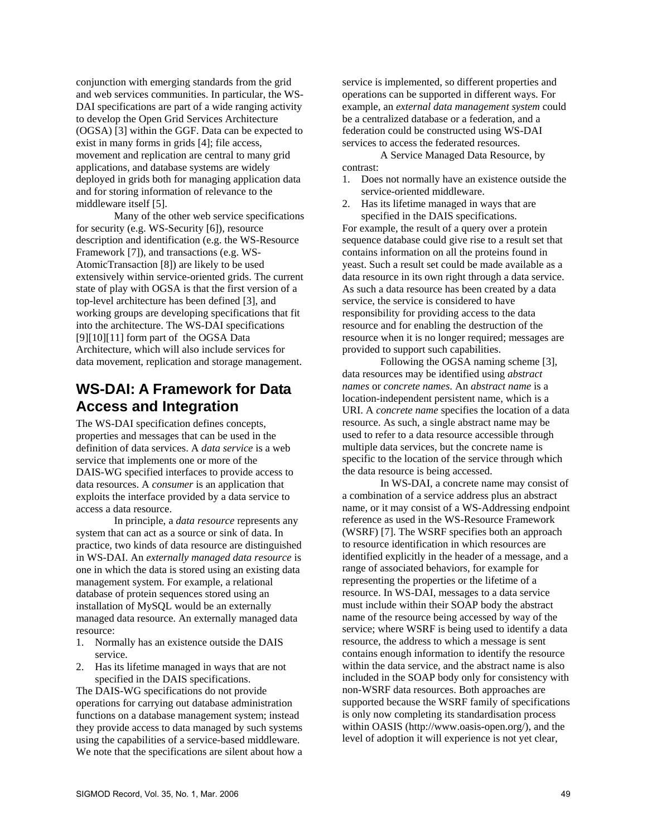conjunction with emerging standards from the grid and web services communities. In particular, the WS-DAI specifications are part of a wide ranging activity to develop the Open Grid Services Architecture (OGSA) [\[3\]](#page-7-2) within the GGF. Data can be expected to exist in many forms in grids [\[4\];](#page-7-3) file access, movement and replication are central to many grid applications, and database systems are widely deployed in grids both for managing application data and for storing information of relevance to the middleware itself [\[5\].](#page-7-4)

Many of the other web service specifications for security (e.g. WS-Security [\[6\]\)](#page-7-5), resource description and identification (e.g. the WS-Resource Framework [\[7\]](#page-7-6)), and transactions (e.g. WS-AtomicTransaction [\[8\]\)](#page-7-7) are likely to be used extensively within service-oriented grids. The current state of play with OGSA is that the first version of a top-level architecture has been defined [\[3\],](#page-7-2) and working groups are developing specifications that fit into the architecture. The WS-DAI specifications [\[9\]](#page-7-8)[\[10\]](#page-7-9)[\[11\]](#page-7-10) form part of the OGSA Data Architecture, which will also include services for data movement, replication and storage management.

## **WS-DAI: A Framework for Data Access and Integration**

The WS-DAI specification defines concepts, properties and messages that can be used in the definition of data services. A *data service* is a web service that implements one or more of the DAIS-WG specified interfaces to provide access to data resources. A *consumer* is an application that exploits the interface provided by a data service to access a data resource.

In principle, a *data resource* represents any system that can act as a source or sink of data. In practice, two kinds of data resource are distinguished in WS-DAI. An *externally managed data resource* is one in which the data is stored using an existing data management system. For example, a relational database of protein sequences stored using an installation of MySQL would be an externally managed data resource. An externally managed data resource:

- 1. Normally has an existence outside the DAIS service.
- 2. Has its lifetime managed in ways that are not specified in the DAIS specifications.

The DAIS-WG specifications do not provide operations for carrying out database administration functions on a database management system; instead they provide access to data managed by such systems using the capabilities of a service-based middleware. We note that the specifications are silent about how a service is implemented, so different properties and operations can be supported in different ways. For example, an *external data management system* could be a centralized database or a federation, and a federation could be constructed using WS-DAI services to access the federated resources.

A Service Managed Data Resource, by contrast:

- 1. Does not normally have an existence outside the service-oriented middleware.
- 2. Has its lifetime managed in ways that are specified in the DAIS specifications.

For example, the result of a query over a protein sequence database could give rise to a result set that contains information on all the proteins found in yeast. Such a result set could be made available as a data resource in its own right through a data service. As such a data resource has been created by a data service, the service is considered to have responsibility for providing access to the data resource and for enabling the destruction of the resource when it is no longer required; messages are provided to support such capabilities.

Following the OGSA naming scheme [\[3\]](#page-7-2), data resources may be identified using *abstract names* or *concrete names*. An *abstract name* is a location-independent persistent name, which is a URI. A *concrete name* specifies the location of a data resource. As such, a single abstract name may be used to refer to a data resource accessible through multiple data services, but the concrete name is specific to the location of the service through which the data resource is being accessed.

In WS-DAI, a concrete name may consist of a combination of a service address plus an abstract name, or it may consist of a WS-Addressing endpoint reference as used in the WS-Resource Framework (WSRF) [\[7\]](#page-7-6). The WSRF specifies both an approach to resource identification in which resources are identified explicitly in the header of a message, and a range of associated behaviors, for example for representing the properties or the lifetime of a resource. In WS-DAI, messages to a data service must include within their SOAP body the abstract name of the resource being accessed by way of the service; where WSRF is being used to identify a data resource, the address to which a message is sent contains enough information to identify the resource within the data service, and the abstract name is also included in the SOAP body only for consistency with non-WSRF data resources. Both approaches are supported because the WSRF family of specifications is only now completing its standardisation process within OASIS (http://www.oasis-open.org/), and the level of adoption it will experience is not yet clear,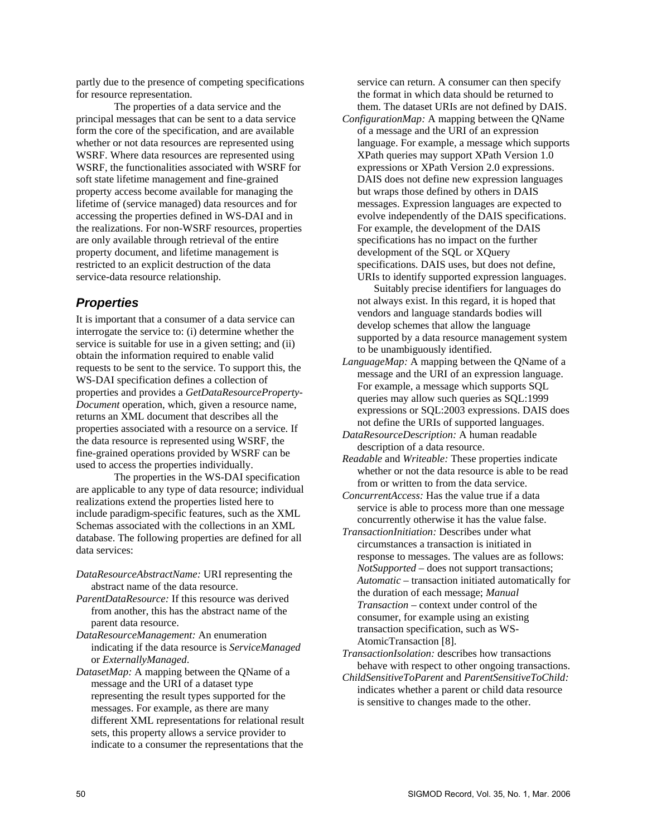partly due to the presence of competing specifications for resource representation.

The properties of a data service and the principal messages that can be sent to a data service form the core of the specification, and are available whether or not data resources are represented using WSRF. Where data resources are represented using WSRF, the functionalities associated with WSRF for soft state lifetime management and fine-grained property access become available for managing the lifetime of (service managed) data resources and for accessing the properties defined in WS-DAI and in the realizations. For non-WSRF resources, properties are only available through retrieval of the entire property document, and lifetime management is restricted to an explicit destruction of the data service-data resource relationship.

### *Properties*

It is important that a consumer of a data service can interrogate the service to: (i) determine whether the service is suitable for use in a given setting; and (ii) obtain the information required to enable valid requests to be sent to the service. To support this, the WS-DAI specification defines a collection of properties and provides a *GetDataResourceProperty-Document* operation, which, given a resource name, returns an XML document that describes all the properties associated with a resource on a service. If the data resource is represented using WSRF, the fine-grained operations provided by WSRF can be used to access the properties individually.

The properties in the WS-DAI specification are applicable to any type of data resource; individual realizations extend the properties listed here to include paradigm-specific features, such as the XML Schemas associated with the collections in an XML database. The following properties are defined for all data services:

- *DataResourceAbstractName:* URI representing the abstract name of the data resource.
- *ParentDataResource:* If this resource was derived from another, this has the abstract name of the parent data resource.
- *DataResourceManagement:* An enumeration indicating if the data resource is *ServiceManaged* or *ExternallyManaged*.
- *DatasetMap:* A mapping between the QName of a message and the URI of a dataset type representing the result types supported for the messages. For example, as there are many different XML representations for relational result sets, this property allows a service provider to indicate to a consumer the representations that the

service can return. A consumer can then specify the format in which data should be returned to them. The dataset URIs are not defined by DAIS.

*ConfigurationMap:* A mapping between the QName of a message and the URI of an expression language. For example, a message which supports XPath queries may support XPath Version 1.0 expressions or XPath Version 2.0 expressions. DAIS does not define new expression languages but wraps those defined by others in DAIS messages. Expression languages are expected to evolve independently of the DAIS specifications. For example, the development of the DAIS specifications has no impact on the further development of the SQL or XQuery specifications. DAIS uses, but does not define, URIs to identify supported expression languages.

Suitably precise identifiers for languages do not always exist. In this regard, it is hoped that vendors and language standards bodies will develop schemes that allow the language supported by a data resource management system to be unambiguously identified.

- *LanguageMap:* A mapping between the QName of a message and the URI of an expression language. For example, a message which supports SQL queries may allow such queries as SQL:1999 expressions or SQL:2003 expressions. DAIS does not define the URIs of supported languages.
- *DataResourceDescription:* A human readable description of a data resource.
- *Readable* and *Writeable:* These properties indicate whether or not the data resource is able to be read from or written to from the data service.
- *ConcurrentAccess:* Has the value true if a data service is able to process more than one message concurrently otherwise it has the value false.
- *TransactionInitiation:* Describes under what circumstances a transaction is initiated in response to messages. The values are as follows: *NotSupported* – does not support transactions; *Automatic* – transaction initiated automatically for the duration of each message; *Manual Transaction* – context under control of the consumer, for example using an existing transaction specification, such as WS-AtomicTransaction [\[8\].](#page-7-7)
- *TransactionIsolation:* describes how transactions behave with respect to other ongoing transactions.
- *ChildSensitiveToParent* and *ParentSensitiveToChild:*  indicates whether a parent or child data resource is sensitive to changes made to the other.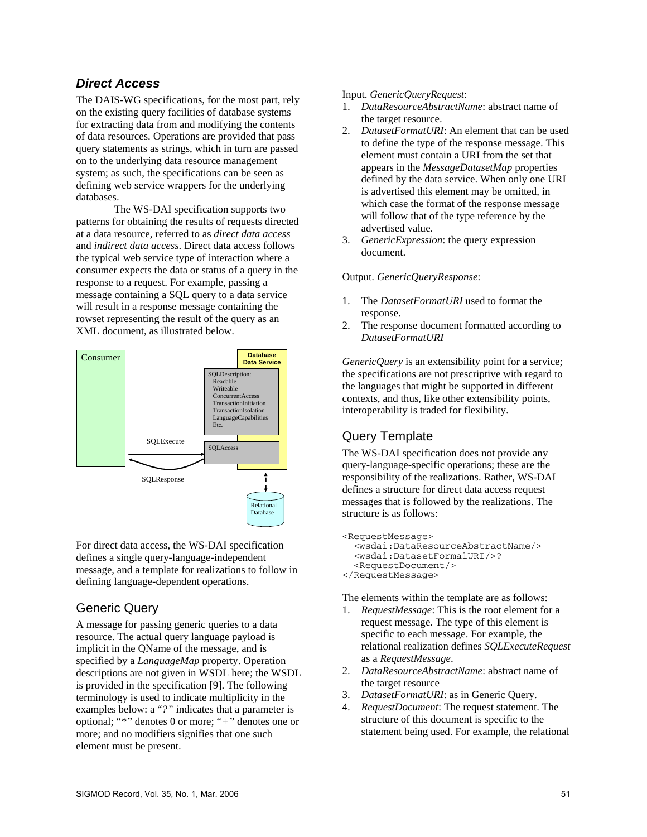### *Direct Access*

The DAIS-WG specifications, for the most part, rely on the existing query facilities of database systems for extracting data from and modifying the contents of data resources. Operations are provided that pass query statements as strings, which in turn are passed on to the underlying data resource management system; as such, the specifications can be seen as defining web service wrappers for the underlying databases.

The WS-DAI specification supports two patterns for obtaining the results of requests directed at a data resource, referred to as *direct data access* and *indirect data access*. Direct data access follows the typical web service type of interaction where a consumer expects the data or status of a query in the response to a request. For example, passing a message containing a SQL query to a data service will result in a response message containing the rowset representing the result of the query as an XML document, as illustrated below.



For direct data access, the WS-DAI specification defines a single query-language-independent message, and a template for realizations to follow in defining language-dependent operations.

## Generic Query

A message for passing generic queries to a data resource. The actual query language payload is implicit in the QName of the message, and is specified by a *LanguageMap* property. Operation descriptions are not given in WSDL here; the WSDL is provided in the specification [\[9\].](#page-7-8) The following terminology is used to indicate multiplicity in the examples below: a "*?"* indicates that a parameter is optional; "*\*"* denotes 0 or more; "*+"* denotes one or more; and no modifiers signifies that one such element must be present.

#### Input. *GenericQueryRequest*:

- 1. *DataResourceAbstractName*: abstract name of the target resource.
- 2. *DatasetFormatURI*: An element that can be used to define the type of the response message. This element must contain a URI from the set that appears in the *MessageDatasetMap* properties defined by the data service. When only one URI is advertised this element may be omitted, in which case the format of the response message will follow that of the type reference by the advertised value.
- 3. *GenericExpression*: the query expression document.

#### Output. *GenericQueryResponse*:

- 1. The *DatasetFormatURI* used to format the response.
- 2. The response document formatted according to *DatasetFormatURI*

*GenericQuery* is an extensibility point for a service; the specifications are not prescriptive with regard to the languages that might be supported in different contexts, and thus, like other extensibility points, interoperability is traded for flexibility.

## Query Template

The WS-DAI specification does not provide any query-language-specific operations; these are the responsibility of the realizations. Rather, WS-DAI defines a structure for direct data access request messages that is followed by the realizations. The structure is as follows:

```
<RequestMessage> 
   <wsdai:DataResourceAbstractName/> 
   <wsdai:DatasetFormalURI/>? 
   <RequestDocument/> 
</RequestMessage>
```
The elements within the template are as follows:

- 1. *RequestMessage*: This is the root element for a request message. The type of this element is specific to each message. For example, the relational realization defines *SQLExecuteRequest* as a *RequestMessage*.
- 2. *DataResourceAbstractName*: abstract name of the target resource
- 3. *DatasetFormatURI*: as in Generic Query.
- 4. *RequestDocument*: The request statement. The structure of this document is specific to the statement being used. For example, the relational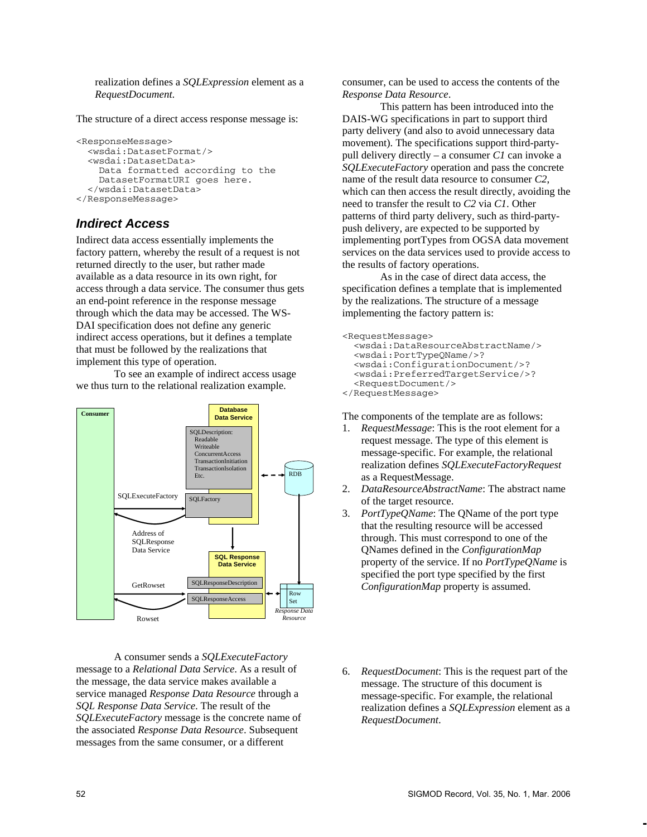realization defines a *SQLExpression* element as a *RequestDocument*.

The structure of a direct access response message is:

```
<ResponseMessage> 
   <wsdai:DatasetFormat/> 
   <wsdai:DatasetData> 
     Data formatted according to the 
     DatasetFormatURI goes here. 
   </wsdai:DatasetData> 
</ResponseMessage>
```
#### *Indirect Access*

Indirect data access essentially implements the factory pattern, whereby the result of a request is not returned directly to the user, but rather made available as a data resource in its own right, for access through a data service. The consumer thus gets an end-point reference in the response message through which the data may be accessed. The WS-DAI specification does not define any generic indirect access operations, but it defines a template that must be followed by the realizations that implement this type of operation.

To see an example of indirect access usage we thus turn to the relational realization example.



A consumer sends a *SQLExecuteFactory* message to a *Relational Data Service*. As a result of the message, the data service makes available a service managed *Response Data Resource* through a *SQL Response Data Service*. The result of the *SQLExecuteFactory* message is the concrete name of the associated *Response Data Resource*. Subsequent messages from the same consumer, or a different

consumer, can be used to access the contents of the *Response Data Resource*.

This pattern has been introduced into the DAIS-WG specifications in part to support third party delivery (and also to avoid unnecessary data movement). The specifications support third-partypull delivery directly – a consumer *C1* can invoke a *SQLExecuteFactory* operation and pass the concrete name of the result data resource to consumer *C2*, which can then access the result directly, avoiding the need to transfer the result to *C2* via *C1*. Other patterns of third party delivery, such as third-partypush delivery, are expected to be supported by implementing portTypes from OGSA data movement services on the data services used to provide access to the results of factory operations.

As in the case of direct data access, the specification defines a template that is implemented by the realizations. The structure of a message implementing the factory pattern is:

```
<RequestMessage> 
   <wsdai:DataResourceAbstractName/> 
   <wsdai:PortTypeQName/>? 
   <wsdai:ConfigurationDocument/>? 
   <wsdai:PreferredTargetService/>? 
   <RequestDocument/> 
</RequestMessage>
```
The components of the template are as follows:

- 1. *RequestMessage*: This is the root element for a request message. The type of this element is message-specific. For example, the relational realization defines *SQLExecuteFactoryRequest* as a RequestMessage.
- 2. *DataResourceAbstractName*: The abstract name of the target resource.
- 3. *PortTypeQName*: The QName of the port type that the resulting resource will be accessed through. This must correspond to one of the QNames defined in the *ConfigurationMap* property of the service. If no *PortTypeQName* is specified the port type specified by the first *ConfigurationMap* property is assumed.
- 6. *RequestDocument*: This is the request part of the message. The structure of this document is message-specific. For example, the relational realization defines a *SQLExpression* element as a *RequestDocument*.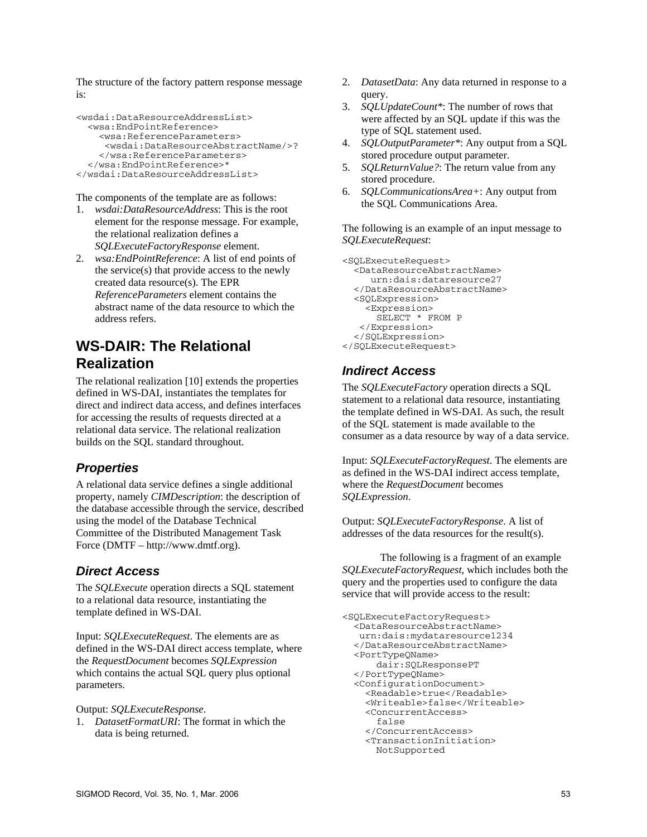The structure of the factory pattern response message is:

```
<wsdai:DataResourceAddressList> 
   <wsa:EndPointReference> 
     <wsa:ReferenceParameters> 
      <wsdai:DataResourceAbstractName/>? 
     </wsa:ReferenceParameters> 
   </wsa:EndPointReference>* 
</wsdai:DataResourceAddressList>
```
The components of the template are as follows:

- 1. *wsdai:DataResourceAddress*: This is the root element for the response message. For example, the relational realization defines a *SQLExecuteFactoryResponse* element.
- 2. *wsa:EndPointReference*: A list of end points of the service(s) that provide access to the newly created data resource(s). The EPR *ReferenceParameters* element contains the abstract name of the data resource to which the address refers.

## **WS-DAIR: The Relational Realization**

The relational realization [\[10\]](#page-7-9) extends the properties defined in WS-DAI, instantiates the templates for direct and indirect data access, and defines interfaces for accessing the results of requests directed at a relational data service. The relational realization builds on the SQL standard throughout.

## *Properties*

A relational data service defines a single additional property, namely *CIMDescription*: the description of the database accessible through the service, described using the model of the Database Technical Committee of the Distributed Management Task Force (DMTF – http://www.dmtf.org).

## *Direct Access*

The *SQLExecute* operation directs a SQL statement to a relational data resource, instantiating the template defined in WS-DAI.

Input: *SQLExecuteRequest*. The elements are as defined in the WS-DAI direct access template, where the *RequestDocument* becomes *SQLExpression* which contains the actual SQL query plus optional parameters.

Output: *SQLExecuteResponse*.

1. *DatasetFormatURI*: The format in which the data is being returned.

- 2. *DatasetData*: Any data returned in response to a query.
- 3. *SQLUpdateCount\**: The number of rows that were affected by an SQL update if this was the type of SQL statement used.
- 4. *SQLOutputParameter\**: Any output from a SQL stored procedure output parameter.
- 5. *SQLReturnValue?*: The return value from any stored procedure.
- 6. *SQLCommunicationsArea+*: Any output from the SQL Communications Area.

The following is an example of an input message to *SQLExecuteRequest*:

```
<SQLExecuteRequest> 
   <DataResourceAbstractName> 
      urn:dais:dataresource27 
   </DataResourceAbstractName> 
   <SQLExpression> 
     <Expression> 
       SELECT * FROM P 
    </Expression> 
   </SQLExpression> 
</SQLExecuteRequest>
```
## *Indirect Access*

The *SQLExecuteFactory* operation directs a SQL statement to a relational data resource, instantiating the template defined in WS-DAI. As such, the result of the SQL statement is made available to the consumer as a data resource by way of a data service.

Input: *SQLExecuteFactoryRequest*. The elements are as defined in the WS-DAI indirect access template, where the *RequestDocument* becomes *SQLExpression*.

Output: *SQLExecuteFactoryResponse*. A list of addresses of the data resources for the result(s).

The following is a fragment of an example *SQLExecuteFactoryRequest*, which includes both the query and the properties used to configure the data service that will provide access to the result:

```
<SQLExecuteFactoryRequest> 
   <DataResourceAbstractName> 
   urn:dais:mydataresource1234 
   </DataResourceAbstractName> 
   <PortTypeQName> 
       dair:SQLResponsePT 
   </PortTypeQName> 
   <ConfigurationDocument> 
     <Readable>true</Readable> 
     <Writeable>false</Writeable> 
     <ConcurrentAccess> 
       false 
     </ConcurrentAccess> 
     <TransactionInitiation> 
       NotSupported
```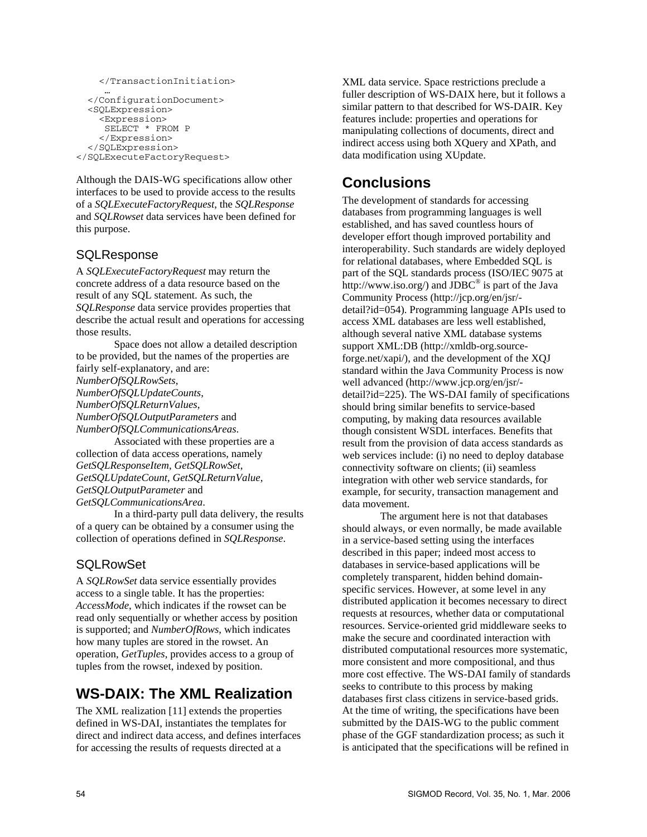```
 </TransactionInitiation> 
 … 
 </ConfigurationDocument> 
   <SQLExpression> 
     <Expression> 
      SELECT * FROM P 
     </Expression> 
   </SQLExpression> 
</SQLExecuteFactoryRequest>
```
Although the DAIS-WG specifications allow other interfaces to be used to provide access to the results of a *SQLExecuteFactoryRequest*, the *SQLResponse* and *SQLRowset* data services have been defined for this purpose.

## **SQLResponse**

A *SQLExecuteFactoryRequest* may return the concrete address of a data resource based on the result of any SQL statement. As such, the *SQLResponse* data service provides properties that describe the actual result and operations for accessing those results.

Space does not allow a detailed description to be provided, but the names of the properties are fairly self-explanatory, and are: *NumberOfSQLRowSets*, *NumberOfSQLUpdateCounts*, *NumberOfSQLReturnValues*, *NumberOfSQLOutputParameters* and *NumberOfSQLCommunicationsAreas*. Associated with these properties are a

collection of data access operations, namely *GetSQLResponseItem*, *GetSQLRowSet*, *GetSQLUpdateCount*, *GetSQLReturnValue*, *GetSQLOutputParameter* and *GetSQLCommunicationsArea*.

In a third-party pull data delivery, the results of a query can be obtained by a consumer using the collection of operations defined in *SQLResponse*.

## **SQLRowSet**

A *SQLRowSet* data service essentially provides access to a single table. It has the properties: *AccessMode*, which indicates if the rowset can be read only sequentially or whether access by position is supported; and *NumberOfRows*, which indicates how many tuples are stored in the rowset. An operation, *GetTuples*, provides access to a group of tuples from the rowset, indexed by position.

## **WS-DAIX: The XML Realization**

The XML realization [\[11\]](#page-7-10) extends the properties defined in WS-DAI, instantiates the templates for direct and indirect data access, and defines interfaces for accessing the results of requests directed at a

XML data service. Space restrictions preclude a fuller description of WS-DAIX here, but it follows a similar pattern to that described for WS-DAIR. Key features include: properties and operations for manipulating collections of documents, direct and indirect access using both XQuery and XPath, and data modification using XUpdate.

## **Conclusions**

The development of standards for accessing databases from programming languages is well established, and has saved countless hours of developer effort though improved portability and interoperability. Such standards are widely deployed for relational databases, where Embedded SQL is part of the SQL standards process (ISO/IEC 9075 at http://www.iso.org/) and  $\overline{\text{IDBC}}^{\textcircled{\tiny{\textregistered}}\text{}}$  is part of the Java Community Process (http://jcp.org/en/jsr/ detail?id=054). Programming language APIs used to access XML databases are less well established, although several native XML database systems support XML:DB (http://xmldb-org.sourceforge.net/xapi/), and the development of the XQJ standard within the Java Community Process is now well advanced (http://www.jcp.org/en/jsr/ detail?id=225). The WS-DAI family of specifications should bring similar benefits to service-based computing, by making data resources available though consistent WSDL interfaces. Benefits that result from the provision of data access standards as web services include: (i) no need to deploy database connectivity software on clients; (ii) seamless integration with other web service standards, for example, for security, transaction management and data movement.

The argument here is not that databases should always, or even normally, be made available in a service-based setting using the interfaces described in this paper; indeed most access to databases in service-based applications will be completely transparent, hidden behind domainspecific services. However, at some level in any distributed application it becomes necessary to direct requests at resources, whether data or computational resources. Service-oriented grid middleware seeks to make the secure and coordinated interaction with distributed computational resources more systematic, more consistent and more compositional, and thus more cost effective. The WS-DAI family of standards seeks to contribute to this process by making databases first class citizens in service-based grids. At the time of writing, the specifications have been submitted by the DAIS-WG to the public comment phase of the GGF standardization process; as such it is anticipated that the specifications will be refined in